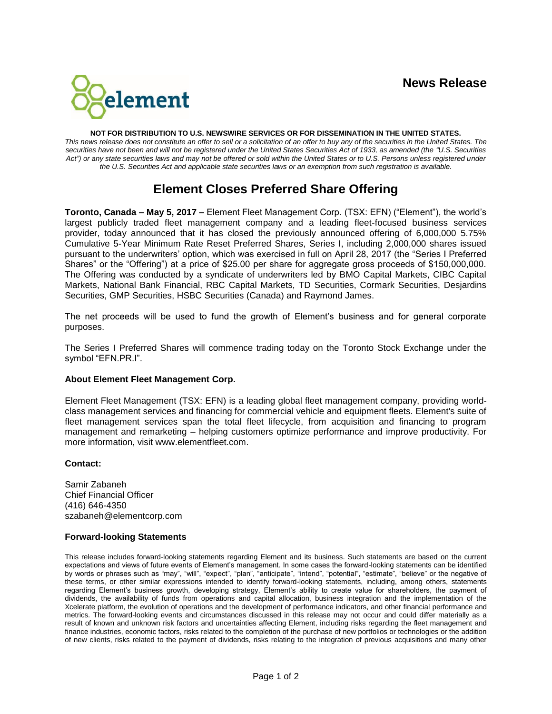

#### **NOT FOR DISTRIBUTION TO U.S. NEWSWIRE SERVICES OR FOR DISSEMINATION IN THE UNITED STATES.**

*This news release does not constitute an offer to sell or a solicitation of an offer to buy any of the securities in the United States. The securities have not been and will not be registered under the United States Securities Act of 1933, as amended (the "U.S. Securities*  Act") or any state securities laws and may not be offered or sold within the United States or to U.S. Persons unless registered under *the U.S. Securities Act and applicable state securities laws or an exemption from such registration is available.*

# **Element Closes Preferred Share Offering**

**Toronto, Canada – May 5, 2017 –** Element Fleet Management Corp. (TSX: EFN) ("Element"), the world's largest publicly traded fleet management company and a leading fleet-focused business services provider, today announced that it has closed the previously announced offering of 6,000,000 5.75% Cumulative 5-Year Minimum Rate Reset Preferred Shares, Series I, including 2,000,000 shares issued pursuant to the underwriters' option, which was exercised in full on April 28, 2017 (the "Series I Preferred Shares" or the "Offering") at a price of \$25.00 per share for aggregate gross proceeds of \$150,000,000. The Offering was conducted by a syndicate of underwriters led by BMO Capital Markets, CIBC Capital Markets, National Bank Financial, RBC Capital Markets, TD Securities, Cormark Securities, Desjardins Securities, GMP Securities, HSBC Securities (Canada) and Raymond James.

The net proceeds will be used to fund the growth of Element's business and for general corporate purposes.

The Series I Preferred Shares will commence trading today on the Toronto Stock Exchange under the symbol "EFN.PR.I".

## **About Element Fleet Management Corp.**

Element Fleet Management (TSX: EFN) is a leading global fleet management company, providing worldclass management services and financing for commercial vehicle and equipment fleets. Element's suite of fleet management services span the total fleet lifecycle, from acquisition and financing to program management and remarketing – helping customers optimize performance and improve productivity. For more information, visit www.elementfleet.com.

## **Contact:**

Samir Zabaneh Chief Financial Officer (416) 646-4350 szabaneh@elementcorp.com

#### **Forward-looking Statements**

This release includes forward-looking statements regarding Element and its business. Such statements are based on the current expectations and views of future events of Element's management. In some cases the forward-looking statements can be identified by words or phrases such as "may", "will", "expect", "plan", "anticipate", "intend", "potential", "estimate", "believe" or the negative of these terms, or other similar expressions intended to identify forward-looking statements, including, among others, statements regarding Element's business growth, developing strategy, Element's ability to create value for shareholders, the payment of dividends, the availability of funds from operations and capital allocation, business integration and the implementation of the Xcelerate platform, the evolution of operations and the development of performance indicators, and other financial performance and metrics. The forward-looking events and circumstances discussed in this release may not occur and could differ materially as a result of known and unknown risk factors and uncertainties affecting Element, including risks regarding the fleet management and finance industries, economic factors, risks related to the completion of the purchase of new portfolios or technologies or the addition of new clients, risks related to the payment of dividends, risks relating to the integration of previous acquisitions and many other